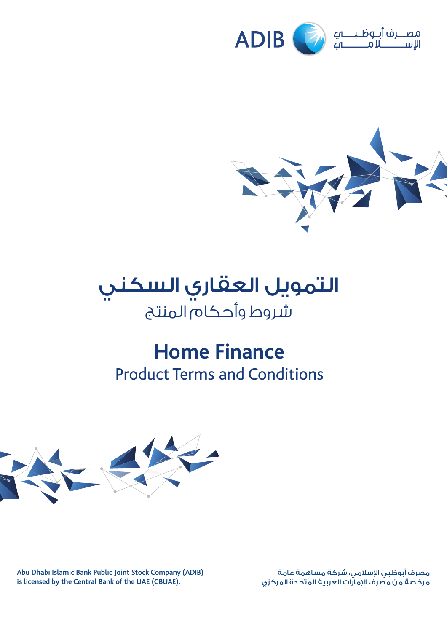





# **Home Finance**  Product Terms and Conditions



**Abu Dhabi Islamic Bank Public Joint Stock Company (ADIB) is licensed by the Central Bank of the UAE (CBUAE).**

مصرف أبوظبي اإلسالمي، شركة مساهمة عامة مصرت مبرسبي مرسمة مصدر المسموت المتحدة المركزي<br>مرخصة من مصرف الإمارات العربية المتحدة المركزي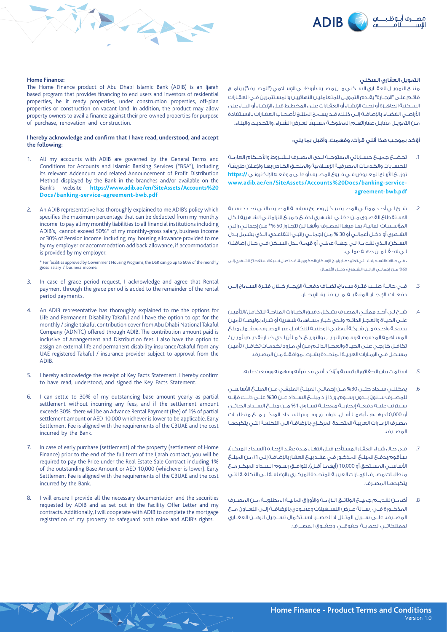



## التمويل العقاري السكني

منتــج التمويــل العقــاري الســكنـي مــن مصـرف أبوظبــي الإســلامي ("المصـرف") برنامــج قائـم علـى "اإلجـارة" يقـدم التمويـل للمتعامليـن النهائييـن والمسـتثمرين فـي العقـارات السـكنية الجاهـزة أو تحـت اإلنشـاء أو العقـارات علـى المخطـط قبـل اإلنشـاء أو البنـاء على الأراضـي الفضـاء. بالإضافـة إلـى ذلـك، قـد يسـمح المنتـج لأصحـاب العقـارات بالاسـتفادة ً مـن التمويـل مقابـل عقاراتهـم المملوكـة مسـبقا لغـرض الشـراء، والتجديـد، والبنـاء.

#### أؤكد بموجب هذا أنني قرأت، وفهمت، وأقبل بما يلي:

- .1 تخضــع جميــع حســاباتي المفتوحــة لــدى المصــرف للشــروط واألحــكام العامــة للحسـابات والخدمـات المصرفيـة اإلسـامية والملحـق الخـاص بهـا وإلعـان طريقـة توزيــع الأربــاح المعـروض فــر، فـروع المصـرف أو علــر، موقعــه الإلكترونـي **//**https: **www.adib.ae/en/SiteAssets/Accounts%20Docs/banking-serviceagreement-bwb.pdf**
- .2 شـرح لـي أحـد ممثلـي المصـرف بـكل وضـوح سياسـة المصـرف التـي تحـدد نسـبة االسـتقطاع القصـوى مـن دخلـي الشـهري لدفـع جميـع التزاماتـي الشـهرية لـكل المؤسسـات الماليـة، بمـا فيهـا المصـرف، وأنهـا لـن تتجـاوز 50 %\* مـن إجمالـي راتبي الشـهري أو دخـل أعمالـي أو 30 % مـن إجمالـي راتبـي التقاعـدي، الـذي يشـمل بـدل الســكن، الــذي تقدمــه لــي جهــة عملــي أو قيمــة بــدل الســكن فــي حــال إضافتــه ً لـي الحقـا مـن جهـة عملـي.

\* فـي حـاالت التسـهيالت التـي تعتمدهـا برامـج اإلسـكان الحكوميـة، قـد تصـل نسـبة االسـتقطاع الشـهري إلـى %60 مــن إجمالــي الراتــب الشــهري/ دخــل األعمــال.

- .3 فــي حالــة طلــب فتــرة ســماح: تضــاف دفعــة اإليجــار خــال فتــرة الســماح إلــى دفعــات اإليجــار المتبقيــة مــن فتــرة اإليجــار.
- .4 شـرح لـي أحـد ممثلـي المصـرف بشـكل دقيـق الخيـارات المتاحـة للتكافل/التأميـن علـى الحيـاة والعجـز الدائـم ولـدي خيـار مسـاهمة شـهرية أو شـراء بوليصـة تأميـن بدفعـة واحـدة مـن شـركة أبوظبـي الوطنيـة للتكافـل عبر المصـرف. ويشـمل مبلغ المسـاهمة المدفوعـة رسـوم الترتيـب والتوزيـع. كمـا أن لـدي خيـار تقديـم تأميـن / تكافـل خارجـي علـى الحيـاة والعجـز الدائـم مـن أي مـزود لخدمـات تكافـل/ تأميـن مسـجل فـي اإلمـارات العربيـة المتحـدة بشـرط بموافقـة مـن المصـرف.
	- .5 استلمت بيان الحقائق الرئيسية وأؤكد أنني قد قرأته وفهمته ووقعت عليه.
- .6 يمكننــي ســداد حتــى %30 مــن إجمالــي المبلــغ المتبقــي مــن المبلــغ األساســي ً للمصــرف ســنويا بــدون رســوم، وإذا زاد مبلــغ الســداد عــن %30 علــى ذلــك فإنــه ســيترتب عليــه دفعــة إيجاريــة معجلــة تســاوي %1 مــن مبلــغ الســداد الجزئــي أو 10,000درهــم ، أيهمــا أقــل. تتوافــق رســوم الســداد المبكــر مــع متطلبــات مصـرف اإلمـارات العربيـة المتحـدة المركـزي باإلضافـة الـى التكلفـة التـي يتكبدهـا المصــرف.
- .<br>7. فـي حـال شـراء العقـار المسـتأجر قبـل انتهـاء مـدة عقـد الاحـارة (السـداد المبكـر)، سـأقوم بدفـع المبلـغ المذكـور فـي عقـد بيـع العقـار باإلضافـة إلـى %1 مـن المبلـغ الأساســي المســتحق أو 10,000 (أيهمــا أقــا )). تتوافــق رســوم الســداد المبكــر مــع متطلبـات مصـرف اإلمـارات العربيـة المتحـدة المركـزي باإلضافـة الـى التكلفـة التـي يتكبدهـا المصـرف.
- .8 أضمــن تقديــم جميــع الوثائــق الالزمــة واألوراق الماليــة المطلوبــة مــن المصــرف المذكــورة فــي رســالة عــرض التســهيالت وعقــودي باإلضافــة إلــى التعــاون مــع المصــرف، علــى ســبيل المثــال ال الحصــر، الســتكمال تســجيل الرهــن العقــاري لممتلكاتــي لحمايــة حقوقــي وحقــوق المصــرف.

## **Home Finance:**

The Home Finance product of Abu Dhabi Islamic Bank (ADIB) is an Ijarah based program that provides financing to end users and investors of residential properties, be it ready properties, under construction properties, off-plan properties or construction on vacant land. In addition, the product may allow property owners to avail a finance against their pre-owned properties for purpose of purchase, renovation and construction.

## **I hereby acknowledge and confirm that I have read, understood, and accept the following:**

- All my accounts with ADIB are governed by the General Terms and Conditions for Accounts and Islamic Banking Services ("BSA"), including its relevant Addendum and related Announcement of Profit Distribution Method displayed by the Bank in the branches and/or available on the Bank's website **https://www.adib.ae/en/SiteAssets/Accounts%20 Docs/banking-service-agreement-bwb.pdf**
- An ADIB representative has thoroughly explained to me ADIB's policy which specifies the maximum percentage that can be deducted from my monthly income to pay all my monthly liabilities to all financial institutions including ADIB's, cannot exceed 50%\* of my monthly-gross salary, business income or 30% of Pension income including my housing allowance provided to me by my employer or accommodation add back allowance, if accommodation is provided by my employer.

\* For facilities approved by Government Housing Programs, the DSR can go up to 60% of the monthly gross salary / business income.

- In case of grace period request, I acknowledge and agree that Rental payment through the grace period is added to the remainder of the rental period payments.
- An ADIB representative has thoroughly explained to me the options for Life and Permanent Disability Takaful and I have the option to opt for the monthly / single takaful contribution cover from Abu Dhabi National Takaful Company (ADNTC) offered through ADIB. The contribution amount paid is inclusive of Arrangement and Distribution fees. I also have the option to assign an external life and permanent disability insurance/takaful from any UAE registered Takaful / insurance provider subject to approval from the ADIB.
- 5. I hereby acknowledge the receipt of Key Facts Statement. I hereby confirm to have read, understood, and signed the Key Facts Statement.
- 6. I can settle to 30% of my outstanding base amount yearly as partial settlement without incurring any fees, and if the settlement amount exceeds 30% there will be an Advance Rental Payment (fee) of 1% of partial settlement amount or AED 10,000 whichever is lower to be applicable. Early Settlement Fee is aligned with the requirements of the CBUAE and the cost incurred by the Bank.
- 7. In case of early purchase (settlement) of the property (settlement of Home Finance) prior to the end of the full term of the Ijarah contract, you will be required to pay the Price under the Real Estate Sale Contract including 1% of the outstanding Base Amount or AED 10,000 (whichever is lower). Early Settlement Fee is aligned with the requirements of the CBUAE and the cost incurred by the Bank.
- 8. I will ensure I provide all the necessary documentation and the securities requested by ADIB and as set out in the Facility Offer Letter and my contracts. Additionally, I will cooperate with ADIB to complete the mortgage registration of my property to safeguard both mine and ADIB's rights.